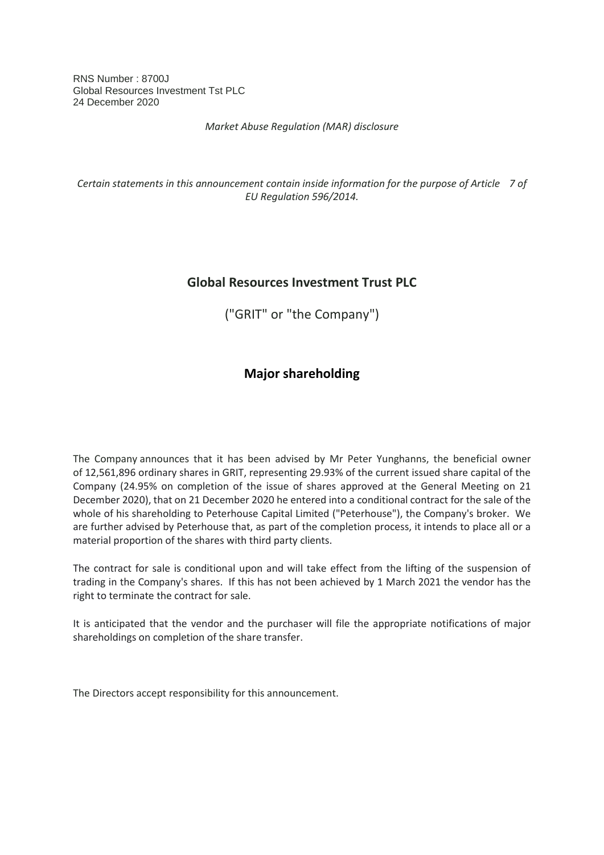RNS Number : 8700J Global Resources Investment Tst PLC 24 December 2020

*Market Abuse Regulation (MAR) disclosure*

*Certain statements in this announcement contain inside information for the purpose of Article 7 of EU Regulation 596/2014.*

## **Global Resources Investment Trust PLC**

("GRIT" or "the Company")

## **Major shareholding**

The Company announces that it has been advised by Mr Peter Yunghanns, the beneficial owner of 12,561,896 ordinary shares in GRIT, representing 29.93% of the current issued share capital of the Company (24.95% on completion of the issue of shares approved at the General Meeting on 21 December 2020), that on 21 December 2020 he entered into a conditional contract for the sale of the whole of his shareholding to Peterhouse Capital Limited ("Peterhouse"), the Company's broker. We are further advised by Peterhouse that, as part of the completion process, it intends to place all or a material proportion of the shares with third party clients.

The contract for sale is conditional upon and will take effect from the lifting of the suspension of trading in the Company's shares. If this has not been achieved by 1 March 2021 the vendor has the right to terminate the contract for sale.

It is anticipated that the vendor and the purchaser will file the appropriate notifications of major shareholdings on completion of the share transfer.

The Directors accept responsibility for this announcement.